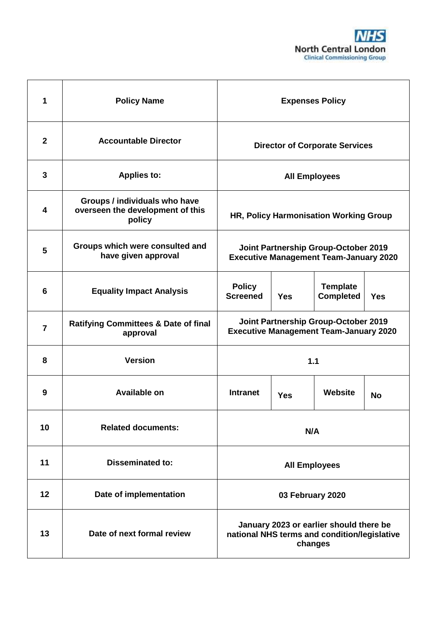

| 1                       | <b>Policy Name</b>                                                          | <b>Expenses Policy</b>                                                                             |            |                                     |            |
|-------------------------|-----------------------------------------------------------------------------|----------------------------------------------------------------------------------------------------|------------|-------------------------------------|------------|
| $\mathbf{2}$            | <b>Accountable Director</b>                                                 | <b>Director of Corporate Services</b>                                                              |            |                                     |            |
| $\mathbf{3}$            | <b>Applies to:</b>                                                          | <b>All Employees</b>                                                                               |            |                                     |            |
| $\overline{\mathbf{4}}$ | Groups / individuals who have<br>overseen the development of this<br>policy | HR, Policy Harmonisation Working Group                                                             |            |                                     |            |
| 5                       | Groups which were consulted and<br>have given approval                      | Joint Partnership Group-October 2019<br><b>Executive Management Team-January 2020</b>              |            |                                     |            |
| 6                       | <b>Equality Impact Analysis</b>                                             | <b>Policy</b><br><b>Screened</b>                                                                   | <b>Yes</b> | <b>Template</b><br><b>Completed</b> | <b>Yes</b> |
| $\overline{7}$          | <b>Ratifying Committees &amp; Date of final</b><br>approval                 | Joint Partnership Group-October 2019<br><b>Executive Management Team-January 2020</b>              |            |                                     |            |
| 8                       | <b>Version</b>                                                              | 1.1                                                                                                |            |                                     |            |
| 9                       | Available on                                                                | <b>Intranet</b><br><b>Yes</b>                                                                      |            | Website                             | <b>No</b>  |
| 10                      | <b>Related documents:</b>                                                   | N/A                                                                                                |            |                                     |            |
| 11                      | <b>Disseminated to:</b>                                                     | <b>All Employees</b>                                                                               |            |                                     |            |
| 12                      | Date of implementation                                                      | 03 February 2020                                                                                   |            |                                     |            |
| 13                      | Date of next formal review                                                  | January 2023 or earlier should there be<br>national NHS terms and condition/legislative<br>changes |            |                                     |            |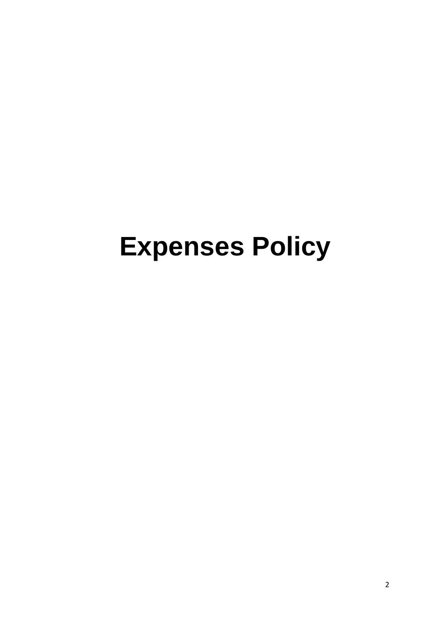# **Expenses Policy**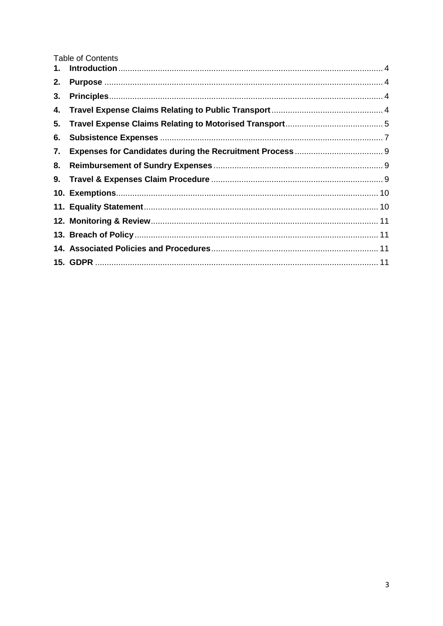**Table of Contents** 

| 2. |  |
|----|--|
| 3. |  |
|    |  |
| 5. |  |
| 6. |  |
| 7. |  |
| 8. |  |
|    |  |
|    |  |
|    |  |
|    |  |
|    |  |
|    |  |
|    |  |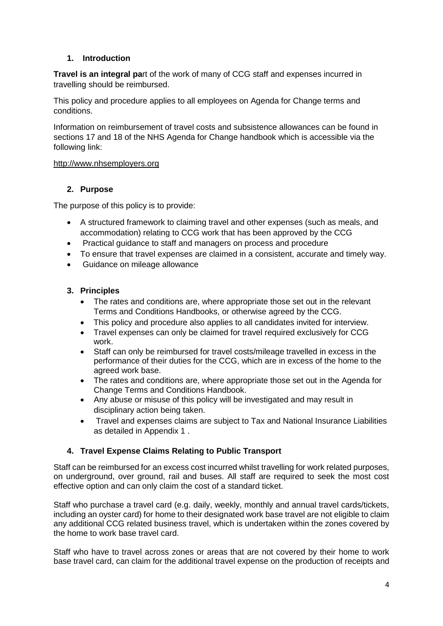## <span id="page-3-0"></span>**1. Introduction**

**Travel is an integral pa**rt of the work of many of CCG staff and expenses incurred in travelling should be reimbursed.

This policy and procedure applies to all employees on Agenda for Change terms and conditions.

Information on reimbursement of travel costs and subsistence allowances can be found in sections 17 and 18 of the NHS Agenda for Change handbook which is accessible via the following link:

#### [http://www.nhsemployers.org](http://www.nhsemployers.org/)

#### <span id="page-3-1"></span>**2. Purpose**

The purpose of this policy is to provide:

- A structured framework to claiming travel and other expenses (such as meals, and accommodation) relating to CCG work that has been approved by the CCG
- Practical guidance to staff and managers on process and procedure
- To ensure that travel expenses are claimed in a consistent, accurate and timely way.
- Guidance on mileage allowance

#### <span id="page-3-2"></span>**3. Principles**

- The rates and conditions are, where appropriate those set out in the relevant Terms and Conditions Handbooks, or otherwise agreed by the CCG.
- This policy and procedure also applies to all candidates invited for interview.
- Travel expenses can only be claimed for travel required exclusively for CCG work.
- Staff can only be reimbursed for travel costs/mileage travelled in excess in the performance of their duties for the CCG, which are in excess of the home to the agreed work base.
- The rates and conditions are, where appropriate those set out in the Agenda for Change Terms and Conditions Handbook.
- Any abuse or misuse of this policy will be investigated and may result in disciplinary action being taken.
- Travel and expenses claims are subject to Tax and National Insurance Liabilities as detailed in Appendix 1 .

#### <span id="page-3-3"></span>**4. Travel Expense Claims Relating to Public Transport**

Staff can be reimbursed for an excess cost incurred whilst travelling for work related purposes, on underground, over ground, rail and buses. All staff are required to seek the most cost effective option and can only claim the cost of a standard ticket.

Staff who purchase a travel card (e.g. daily, weekly, monthly and annual travel cards/tickets, including an oyster card) for home to their designated work base travel are not eligible to claim any additional CCG related business travel, which is undertaken within the zones covered by the home to work base travel card.

Staff who have to travel across zones or areas that are not covered by their home to work base travel card, can claim for the additional travel expense on the production of receipts and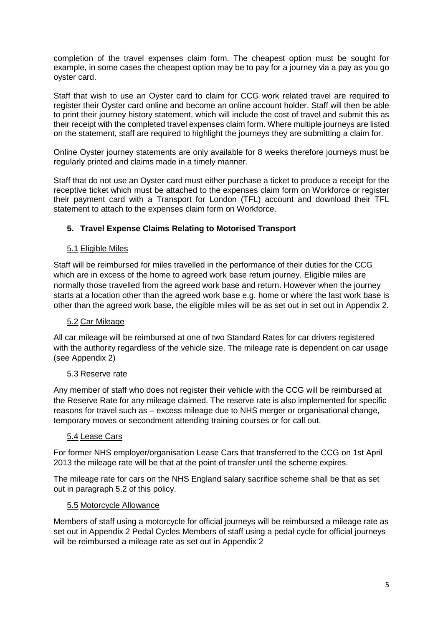completion of the travel expenses claim form. The cheapest option must be sought for example, in some cases the cheapest option may be to pay for a journey via a pay as you go oyster card.

Staff that wish to use an Oyster card to claim for CCG work related travel are required to register their Oyster card online and become an online account holder. Staff will then be able to print their journey history statement, which will include the cost of travel and submit this as their receipt with the completed travel expenses claim form. Where multiple journeys are listed on the statement, staff are required to highlight the journeys they are submitting a claim for.

Online Oyster journey statements are only available for 8 weeks therefore journeys must be regularly printed and claims made in a timely manner.

Staff that do not use an Oyster card must either purchase a ticket to produce a receipt for the receptive ticket which must be attached to the expenses claim form on Workforce or register their payment card with a Transport for London (TFL) account and download their TFL statement to attach to the expenses claim form on Workforce.

## <span id="page-4-0"></span>**5. Travel Expense Claims Relating to Motorised Transport**

#### 5.1 Eligible Miles

Staff will be reimbursed for miles travelled in the performance of their duties for the CCG which are in excess of the home to agreed work base return journey. Eligible miles are normally those travelled from the agreed work base and return. However when the journey starts at a location other than the agreed work base e.g. home or where the last work base is other than the agreed work base, the eligible miles will be as set out in set out in Appendix 2.

#### 5.2 Car Mileage

All car mileage will be reimbursed at one of two Standard Rates for car drivers registered with the authority regardless of the vehicle size. The mileage rate is dependent on car usage (see Appendix 2)

#### 5.3 Reserve rate

Any member of staff who does not register their vehicle with the CCG will be reimbursed at the Reserve Rate for any mileage claimed. The reserve rate is also implemented for specific reasons for travel such as – excess mileage due to NHS merger or organisational change, temporary moves or secondment attending training courses or for call out.

#### 5.4 Lease Cars

For former NHS employer/organisation Lease Cars that transferred to the CCG on 1st April 2013 the mileage rate will be that at the point of transfer until the scheme expires.

The mileage rate for cars on the NHS England salary sacrifice scheme shall be that as set out in paragraph 5.2 of this policy.

#### 5.5 Motorcycle Allowance

Members of staff using a motorcycle for official journeys will be reimbursed a mileage rate as set out in Appendix 2 Pedal Cycles Members of staff using a pedal cycle for official journeys will be reimbursed a mileage rate as set out in Appendix 2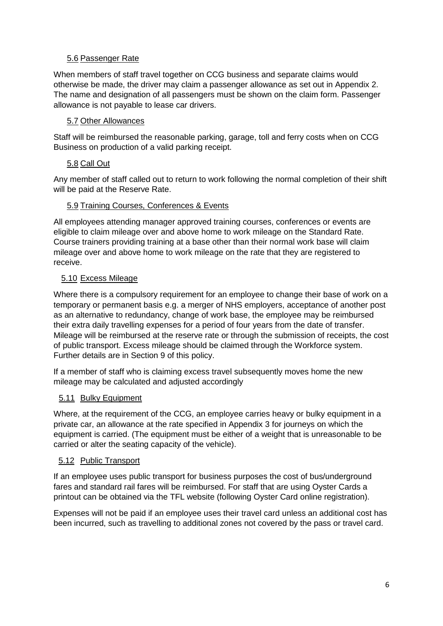#### 5.6 Passenger Rate

When members of staff travel together on CCG business and separate claims would otherwise be made, the driver may claim a passenger allowance as set out in Appendix 2. The name and designation of all passengers must be shown on the claim form. Passenger allowance is not payable to lease car drivers.

#### 5.7 Other Allowances

Staff will be reimbursed the reasonable parking, garage, toll and ferry costs when on CCG Business on production of a valid parking receipt.

## 5.8 Call Out

Any member of staff called out to return to work following the normal completion of their shift will be paid at the Reserve Rate.

#### 5.9 Training Courses, Conferences & Events

All employees attending manager approved training courses, conferences or events are eligible to claim mileage over and above home to work mileage on the Standard Rate. Course trainers providing training at a base other than their normal work base will claim mileage over and above home to work mileage on the rate that they are registered to receive.

## 5.10 Excess Mileage

Where there is a compulsory requirement for an employee to change their base of work on a temporary or permanent basis e.g. a merger of NHS employers, acceptance of another post as an alternative to redundancy, change of work base, the employee may be reimbursed their extra daily travelling expenses for a period of four years from the date of transfer. Mileage will be reimbursed at the reserve rate or through the submission of receipts, the cost of public transport. Excess mileage should be claimed through the Workforce system. Further details are in Section 9 of this policy.

If a member of staff who is claiming excess travel subsequently moves home the new mileage may be calculated and adjusted accordingly

# 5.11 Bulky Equipment

Where, at the requirement of the CCG, an employee carries heavy or bulky equipment in a private car, an allowance at the rate specified in Appendix 3 for journeys on which the equipment is carried. (The equipment must be either of a weight that is unreasonable to be carried or alter the seating capacity of the vehicle).

#### 5.12 Public Transport

If an employee uses public transport for business purposes the cost of bus/underground fares and standard rail fares will be reimbursed. For staff that are using Oyster Cards a printout can be obtained via the TFL website (following Oyster Card online registration).

Expenses will not be paid if an employee uses their travel card unless an additional cost has been incurred, such as travelling to additional zones not covered by the pass or travel card.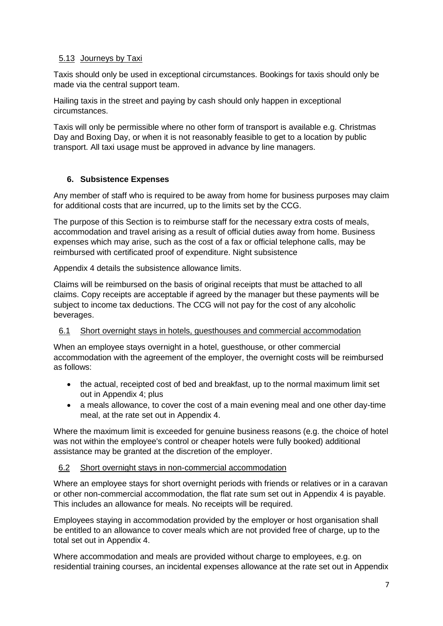## 5.13 Journeys by Taxi

Taxis should only be used in exceptional circumstances. Bookings for taxis should only be made via the central support team.

Hailing taxis in the street and paying by cash should only happen in exceptional circumstances.

Taxis will only be permissible where no other form of transport is available e.g. Christmas Day and Boxing Day, or when it is not reasonably feasible to get to a location by public transport. All taxi usage must be approved in advance by line managers.

#### <span id="page-6-0"></span>**6. Subsistence Expenses**

Any member of staff who is required to be away from home for business purposes may claim for additional costs that are incurred, up to the limits set by the CCG.

The purpose of this Section is to reimburse staff for the necessary extra costs of meals, accommodation and travel arising as a result of official duties away from home. Business expenses which may arise, such as the cost of a fax or official telephone calls, may be reimbursed with certificated proof of expenditure. Night subsistence

Appendix 4 details the subsistence allowance limits.

Claims will be reimbursed on the basis of original receipts that must be attached to all claims. Copy receipts are acceptable if agreed by the manager but these payments will be subject to income tax deductions. The CCG will not pay for the cost of any alcoholic beverages.

## 6.1 Short overnight stays in hotels, guesthouses and commercial accommodation

When an employee stays overnight in a hotel, guesthouse, or other commercial accommodation with the agreement of the employer, the overnight costs will be reimbursed as follows:

- the actual, receipted cost of bed and breakfast, up to the normal maximum limit set out in Appendix 4; plus
- a meals allowance, to cover the cost of a main evening meal and one other day-time meal, at the rate set out in Appendix 4.

Where the maximum limit is exceeded for genuine business reasons (e.g. the choice of hotel was not within the employee's control or cheaper hotels were fully booked) additional assistance may be granted at the discretion of the employer.

#### 6.2 Short overnight stays in non-commercial accommodation

Where an employee stays for short overnight periods with friends or relatives or in a caravan or other non-commercial accommodation, the flat rate sum set out in Appendix 4 is payable. This includes an allowance for meals. No receipts will be required.

Employees staying in accommodation provided by the employer or host organisation shall be entitled to an allowance to cover meals which are not provided free of charge, up to the total set out in Appendix 4.

Where accommodation and meals are provided without charge to employees, e.g. on residential training courses, an incidental expenses allowance at the rate set out in Appendix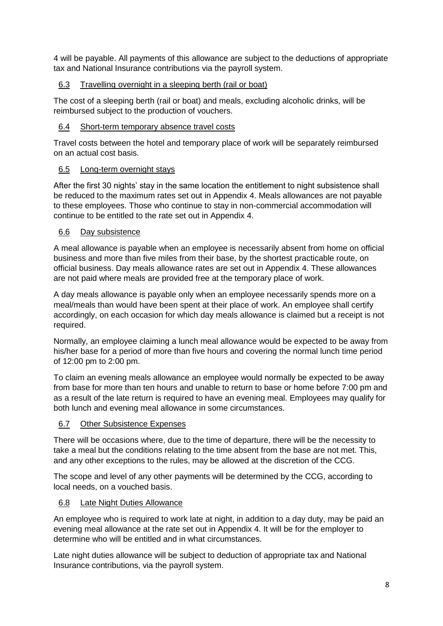4 will be payable. All payments of this allowance are subject to the deductions of appropriate tax and National Insurance contributions via the payroll system.

## 6.3 Travelling overnight in a sleeping berth (rail or boat)

The cost of a sleeping berth (rail or boat) and meals, excluding alcoholic drinks, will be reimbursed subject to the production of vouchers.

## 6.4 Short-term temporary absence travel costs

Travel costs between the hotel and temporary place of work will be separately reimbursed on an actual cost basis.

#### 6.5 Long-term overnight stays

After the first 30 nights' stay in the same location the entitlement to night subsistence shall be reduced to the maximum rates set out in Appendix 4. Meals allowances are not payable to these employees. Those who continue to stay in non-commercial accommodation will continue to be entitled to the rate set out in Appendix 4.

#### 6.6 Day subsistence

A meal allowance is payable when an employee is necessarily absent from home on official business and more than five miles from their base, by the shortest practicable route, on official business. Day meals allowance rates are set out in Appendix 4. These allowances are not paid where meals are provided free at the temporary place of work.

A day meals allowance is payable only when an employee necessarily spends more on a meal/meals than would have been spent at their place of work. An employee shall certify accordingly, on each occasion for which day meals allowance is claimed but a receipt is not required.

Normally, an employee claiming a lunch meal allowance would be expected to be away from his/her base for a period of more than five hours and covering the normal lunch time period of 12:00 pm to 2:00 pm.

To claim an evening meals allowance an employee would normally be expected to be away from base for more than ten hours and unable to return to base or home before 7:00 pm and as a result of the late return is required to have an evening meal. Employees may qualify for both lunch and evening meal allowance in some circumstances.

#### 6.7 Other Subsistence Expenses

There will be occasions where, due to the time of departure, there will be the necessity to take a meal but the conditions relating to the time absent from the base are not met. This, and any other exceptions to the rules, may be allowed at the discretion of the CCG.

The scope and level of any other payments will be determined by the CCG, according to local needs, on a vouched basis.

#### 6.8 Late Night Duties Allowance

An employee who is required to work late at night, in addition to a day duty, may be paid an evening meal allowance at the rate set out in Appendix 4. It will be for the employer to determine who will be entitled and in what circumstances.

Late night duties allowance will be subject to deduction of appropriate tax and National Insurance contributions, via the payroll system.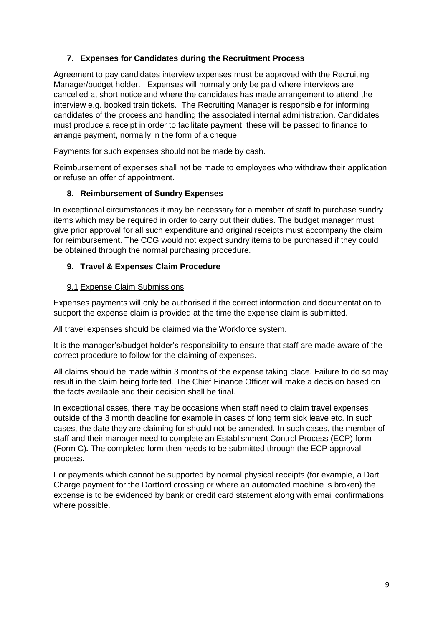## <span id="page-8-0"></span>**7. Expenses for Candidates during the Recruitment Process**

Agreement to pay candidates interview expenses must be approved with the Recruiting Manager/budget holder. Expenses will normally only be paid where interviews are cancelled at short notice and where the candidates has made arrangement to attend the interview e.g. booked train tickets. The Recruiting Manager is responsible for informing candidates of the process and handling the associated internal administration. Candidates must produce a receipt in order to facilitate payment, these will be passed to finance to arrange payment, normally in the form of a cheque.

Payments for such expenses should not be made by cash.

Reimbursement of expenses shall not be made to employees who withdraw their application or refuse an offer of appointment.

#### <span id="page-8-1"></span>**8. Reimbursement of Sundry Expenses**

In exceptional circumstances it may be necessary for a member of staff to purchase sundry items which may be required in order to carry out their duties. The budget manager must give prior approval for all such expenditure and original receipts must accompany the claim for reimbursement. The CCG would not expect sundry items to be purchased if they could be obtained through the normal purchasing procedure.

#### <span id="page-8-2"></span>**9. Travel & Expenses Claim Procedure**

#### 9.1 Expense Claim Submissions

Expenses payments will only be authorised if the correct information and documentation to support the expense claim is provided at the time the expense claim is submitted.

All travel expenses should be claimed via the Workforce system.

It is the manager's/budget holder's responsibility to ensure that staff are made aware of the correct procedure to follow for the claiming of expenses.

All claims should be made within 3 months of the expense taking place. Failure to do so may result in the claim being forfeited. The Chief Finance Officer will make a decision based on the facts available and their decision shall be final.

In exceptional cases, there may be occasions when staff need to claim travel expenses outside of the 3 month deadline for example in cases of long term sick leave etc. In such cases, the date they are claiming for should not be amended. In such cases, the member of staff and their manager need to complete an Establishment Control Process (ECP) form (Form C)*.* The completed form then needs to be submitted through the ECP approval process.

For payments which cannot be supported by normal physical receipts (for example, a Dart Charge payment for the Dartford crossing or where an automated machine is broken) the expense is to be evidenced by bank or credit card statement along with email confirmations, where possible.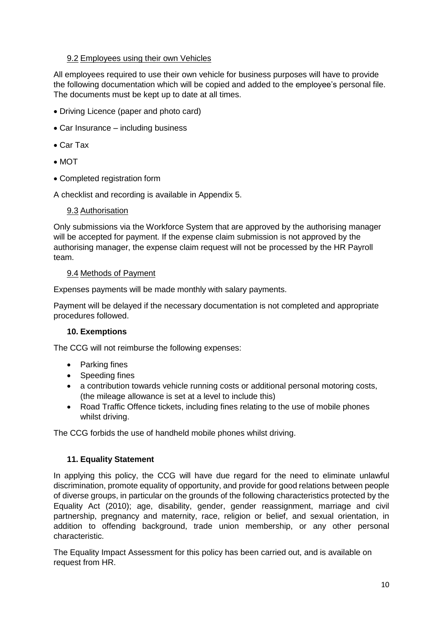#### 9.2 Employees using their own Vehicles

All employees required to use their own vehicle for business purposes will have to provide the following documentation which will be copied and added to the employee's personal file. The documents must be kept up to date at all times.

- Driving Licence (paper and photo card)
- Car Insurance including business
- Car Tax
- $\bullet$  MOT
- Completed registration form

A checklist and recording is available in Appendix 5.

#### 9.3 Authorisation

Only submissions via the Workforce System that are approved by the authorising manager will be accepted for payment. If the expense claim submission is not approved by the authorising manager, the expense claim request will not be processed by the HR Payroll team.

#### 9.4 Methods of Payment

Expenses payments will be made monthly with salary payments.

Payment will be delayed if the necessary documentation is not completed and appropriate procedures followed.

#### <span id="page-9-0"></span>**10. Exemptions**

The CCG will not reimburse the following expenses:

- Parking fines
- Speeding fines
- a contribution towards vehicle running costs or additional personal motoring costs, (the mileage allowance is set at a level to include this)
- Road Traffic Offence tickets, including fines relating to the use of mobile phones whilst driving.

The CCG forbids the use of handheld mobile phones whilst driving.

#### <span id="page-9-1"></span>**11. Equality Statement**

In applying this policy, the CCG will have due regard for the need to eliminate unlawful discrimination, promote equality of opportunity, and provide for good relations between people of diverse groups, in particular on the grounds of the following characteristics protected by the Equality Act (2010); age, disability, gender, gender reassignment, marriage and civil partnership, pregnancy and maternity, race, religion or belief, and sexual orientation, in addition to offending background, trade union membership, or any other personal characteristic.

The Equality Impact Assessment for this policy has been carried out, and is available on request from HR.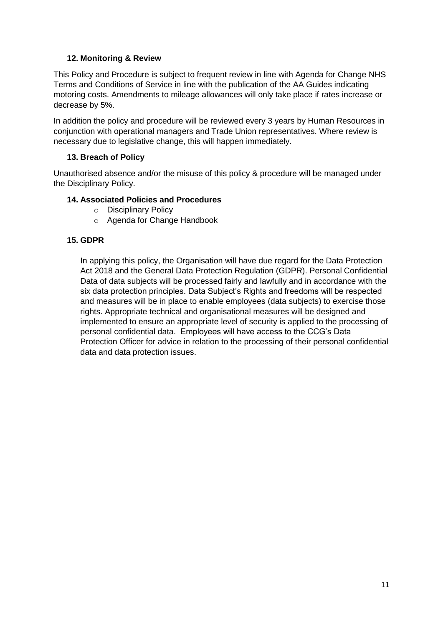## **12. Monitoring & Review**

<span id="page-10-0"></span>This Policy and Procedure is subject to frequent review in line with Agenda for Change NHS Terms and Conditions of Service in line with the publication of the AA Guides indicating motoring costs. Amendments to mileage allowances will only take place if rates increase or decrease by 5%.

In addition the policy and procedure will be reviewed every 3 years by Human Resources in conjunction with operational managers and Trade Union representatives. Where review is necessary due to legislative change, this will happen immediately.

#### **13. Breach of Policy**

<span id="page-10-1"></span>Unauthorised absence and/or the misuse of this policy & procedure will be managed under the Disciplinary Policy.

#### <span id="page-10-2"></span>**14. Associated Policies and Procedures**

- o Disciplinary Policy
- o Agenda for Change Handbook

#### <span id="page-10-3"></span>**15. GDPR**

In applying this policy, the Organisation will have due regard for the Data Protection Act 2018 and the General Data Protection Regulation (GDPR). Personal Confidential Data of data subjects will be processed fairly and lawfully and in accordance with the six data protection principles. Data Subject's Rights and freedoms will be respected and measures will be in place to enable employees (data subjects) to exercise those rights. Appropriate technical and organisational measures will be designed and implemented to ensure an appropriate level of security is applied to the processing of personal confidential data. Employees will have access to the CCG's Data Protection Officer for advice in relation to the processing of their personal confidential data and data protection issues.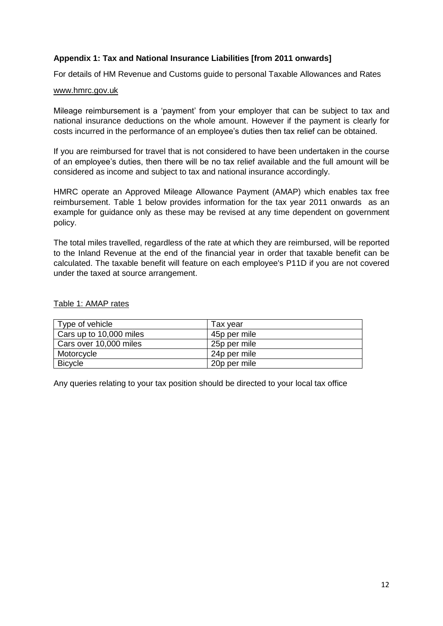#### **Appendix 1: Tax and National Insurance Liabilities [from 2011 onwards]**

For details of HM Revenue and Customs guide to personal Taxable Allowances and Rates

#### [www.hmrc.gov.uk](http://www.hmrc.gov.uk/)

Mileage reimbursement is a 'payment' from your employer that can be subject to tax and national insurance deductions on the whole amount. However if the payment is clearly for costs incurred in the performance of an employee's duties then tax relief can be obtained.

If you are reimbursed for travel that is not considered to have been undertaken in the course of an employee's duties, then there will be no tax relief available and the full amount will be considered as income and subject to tax and national insurance accordingly.

HMRC operate an Approved Mileage Allowance Payment (AMAP) which enables tax free reimbursement. Table 1 below provides information for the tax year 2011 onwards as an example for guidance only as these may be revised at any time dependent on government policy.

The total miles travelled, regardless of the rate at which they are reimbursed, will be reported to the Inland Revenue at the end of the financial year in order that taxable benefit can be calculated. The taxable benefit will feature on each employee's P11D if you are not covered under the taxed at source arrangement.

#### Table 1: AMAP rates

| Type of vehicle         | Tax vear     |
|-------------------------|--------------|
| Cars up to 10,000 miles | 45p per mile |
| Cars over 10,000 miles  | 25p per mile |
| Motorcycle              | 24p per mile |
| <b>Bicycle</b>          | 20p per mile |

Any queries relating to your tax position should be directed to your local tax office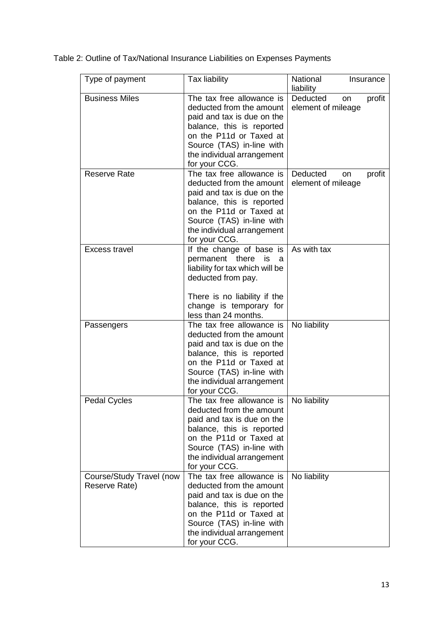| Type of payment                           | Tax liability                                                                                                                                                                                                           | National<br>Insurance<br>liability             |
|-------------------------------------------|-------------------------------------------------------------------------------------------------------------------------------------------------------------------------------------------------------------------------|------------------------------------------------|
| <b>Business Miles</b>                     | The tax free allowance is<br>deducted from the amount<br>paid and tax is due on the<br>balance, this is reported<br>on the P11d or Taxed at<br>Source (TAS) in-line with<br>the individual arrangement<br>for your CCG. | Deducted<br>profit<br>on<br>element of mileage |
| <b>Reserve Rate</b>                       | The tax free allowance is<br>deducted from the amount<br>paid and tax is due on the<br>balance, this is reported<br>on the P11d or Taxed at<br>Source (TAS) in-line with<br>the individual arrangement<br>for your CCG. | Deducted<br>profit<br>on<br>element of mileage |
| Excess travel                             | If the change of base is<br>permanent there<br>is<br>a<br>liability for tax which will be<br>deducted from pay.<br>There is no liability if the<br>change is temporary for<br>less than 24 months.                      | As with tax                                    |
| Passengers                                | The tax free allowance is<br>deducted from the amount<br>paid and tax is due on the<br>balance, this is reported<br>on the P11d or Taxed at<br>Source (TAS) in-line with<br>the individual arrangement<br>for your CCG. | No liability                                   |
| <b>Pedal Cycles</b>                       | The tax free allowance is<br>deducted from the amount<br>paid and tax is due on the<br>balance, this is reported<br>on the P11d or Taxed at<br>Source (TAS) in-line with<br>the individual arrangement<br>for your CCG. | No liability                                   |
| Course/Study Travel (now<br>Reserve Rate) | The tax free allowance is<br>deducted from the amount<br>paid and tax is due on the<br>balance, this is reported<br>on the P11d or Taxed at<br>Source (TAS) in-line with<br>the individual arrangement<br>for your CCG. | No liability                                   |

Table 2: Outline of Tax/National Insurance Liabilities on Expenses Payments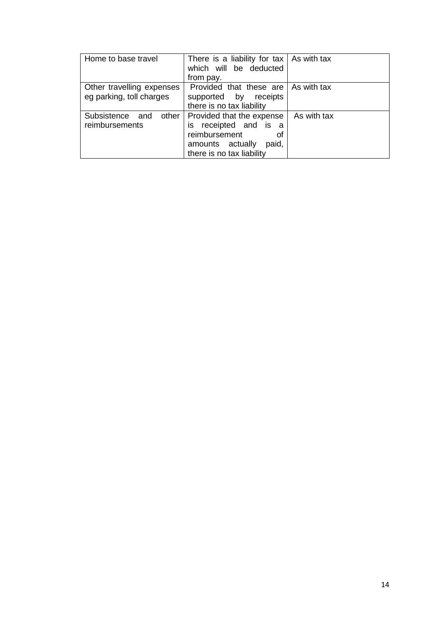| Home to base travel                                   | There is a liability for tax $\vert$ As with tax<br>which will be deducted<br>from pay.                                             |             |
|-------------------------------------------------------|-------------------------------------------------------------------------------------------------------------------------------------|-------------|
| Other travelling expenses<br>eg parking, toll charges | Provided that these are<br>supported by<br>receipts<br>there is no tax liability                                                    | As with tax |
| Subsistence and<br>other<br>reimbursements            | Provided that the expense<br>is receipted and is a<br>reimbursement<br>οf<br>amounts actually<br>paid,<br>there is no tax liability | As with tax |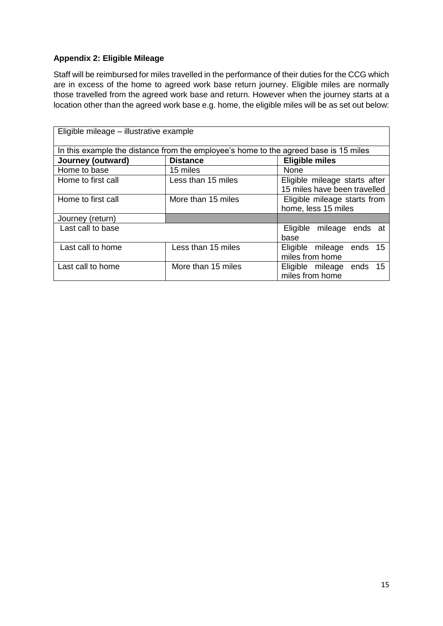# **Appendix 2: Eligible Mileage**

Staff will be reimbursed for miles travelled in the performance of their duties for the CCG which are in excess of the home to agreed work base return journey. Eligible miles are normally those travelled from the agreed work base and return. However when the journey starts at a location other than the agreed work base e.g. home, the eligible miles will be as set out below:

| Eligible mileage - illustrative example |                    |                                                                                      |  |  |
|-----------------------------------------|--------------------|--------------------------------------------------------------------------------------|--|--|
|                                         |                    | In this example the distance from the employee's home to the agreed base is 15 miles |  |  |
| Journey (outward)                       | <b>Distance</b>    | <b>Eligible miles</b>                                                                |  |  |
| Home to base                            | 15 miles           | None                                                                                 |  |  |
| Home to first call                      | Less than 15 miles | Eligible mileage starts after                                                        |  |  |
|                                         |                    | 15 miles have been travelled                                                         |  |  |
| Home to first call                      | More than 15 miles | Eligible mileage starts from                                                         |  |  |
|                                         |                    | home, less 15 miles                                                                  |  |  |
| Journey (return)                        |                    |                                                                                      |  |  |
| Last call to base                       |                    | Eligible mileage ends at                                                             |  |  |
|                                         |                    | base                                                                                 |  |  |
| Last call to home                       | Less than 15 miles | Eligible mileage<br>ends 15                                                          |  |  |
|                                         |                    | miles from home                                                                      |  |  |
| Last call to home                       | More than 15 miles | Eligible mileage<br>ends 15                                                          |  |  |
|                                         |                    | miles from home                                                                      |  |  |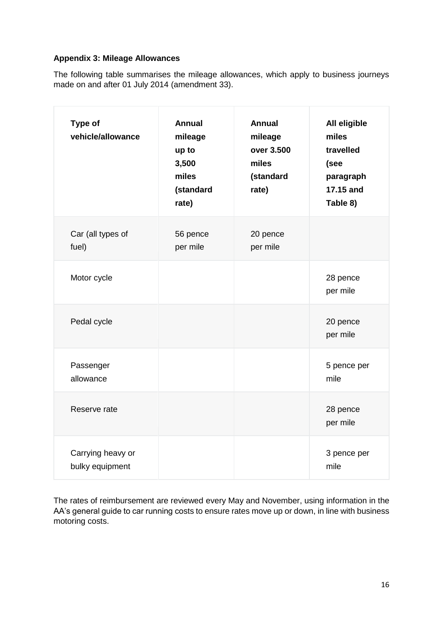## **Appendix 3: Mileage Allowances**

The following table summarises the mileage allowances, which apply to business journeys made on and after 01 July 2014 (amendment 33).

| <b>Type of</b><br>vehicle/allowance  | <b>Annual</b><br>mileage<br>up to<br>3,500<br>miles<br>(standard<br>rate) | <b>Annual</b><br>mileage<br>over 3.500<br>miles<br>(standard<br>rate) | All eligible<br>miles<br>travelled<br>(see<br>paragraph<br>17.15 and<br>Table 8) |
|--------------------------------------|---------------------------------------------------------------------------|-----------------------------------------------------------------------|----------------------------------------------------------------------------------|
| Car (all types of<br>fuel)           | 56 pence<br>per mile                                                      | 20 pence<br>per mile                                                  |                                                                                  |
| Motor cycle                          |                                                                           |                                                                       | 28 pence<br>per mile                                                             |
| Pedal cycle                          |                                                                           |                                                                       | 20 pence<br>per mile                                                             |
| Passenger<br>allowance               |                                                                           |                                                                       | 5 pence per<br>mile                                                              |
| Reserve rate                         |                                                                           |                                                                       | 28 pence<br>per mile                                                             |
| Carrying heavy or<br>bulky equipment |                                                                           |                                                                       | 3 pence per<br>mile                                                              |

The rates of reimbursement are reviewed every May and November, using information in the AA's general guide to car running costs to ensure rates move up or down, in line with business motoring costs.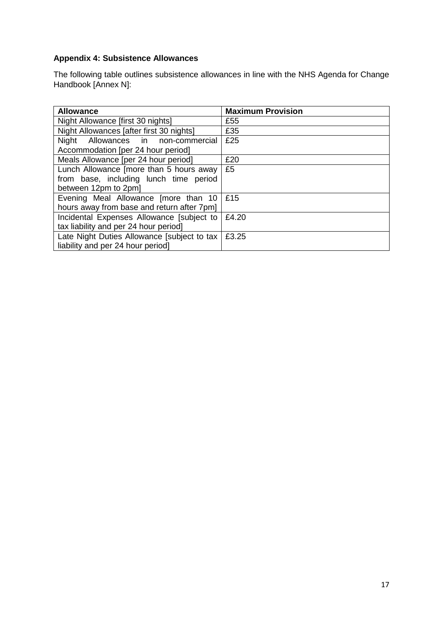# **Appendix 4: Subsistence Allowances**

The following table outlines subsistence allowances in line with the NHS Agenda for Change Handbook [Annex N]:

| <b>Allowance</b>                            | <b>Maximum Provision</b> |
|---------------------------------------------|--------------------------|
| Night Allowance [first 30 nights]           | £55                      |
| Night Allowances [after first 30 nights]    | £35                      |
| Night Allowances in non-commercial          | £25                      |
| Accommodation [per 24 hour period]          |                          |
| Meals Allowance [per 24 hour period]        | £20                      |
| Lunch Allowance [more than 5 hours away     | £5                       |
| from base, including lunch time period      |                          |
| between 12pm to 2pm]                        |                          |
| Evening Meal Allowance [more than 10        | £15                      |
| hours away from base and return after 7pm]  |                          |
| Incidental Expenses Allowance [subject to   | £4.20                    |
| tax liability and per 24 hour period]       |                          |
| Late Night Duties Allowance [subject to tax | £3.25                    |
| liability and per 24 hour period]           |                          |